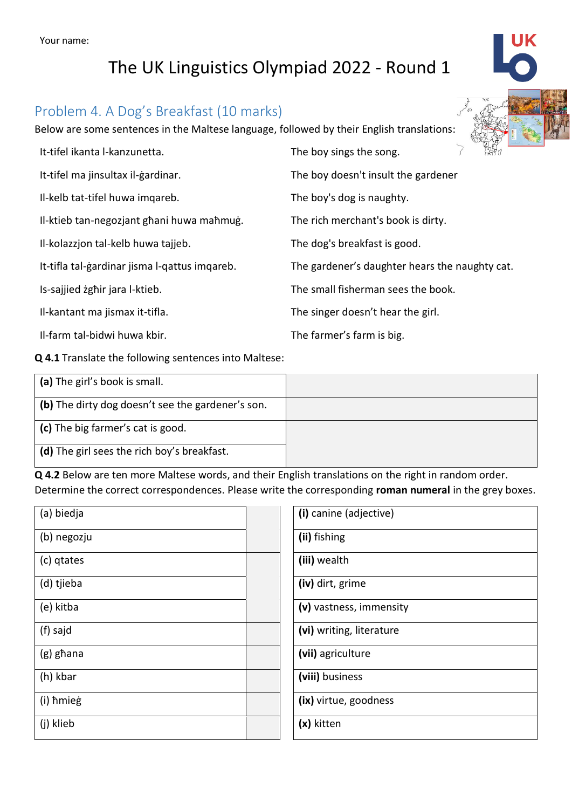## Problem 4. A Dog's Breakfast (10 marks)

Below are some sentences in the Maltese language, followed by their English translations:

| It-tifel ikanta l-kanzunetta.                 | <b>THAY</b><br>The boy sings the song.         |
|-----------------------------------------------|------------------------------------------------|
| It-tifel ma jinsultax il-gardinar.            | The boy doesn't insult the gardener            |
| Il-kelb tat-tifel huwa imgareb.               | The boy's dog is naughty.                      |
| Il-ktieb tan-negozjant ghani huwa mahmug.     | The rich merchant's book is dirty.             |
| Il-kolazzjon tal-kelb huwa tajjeb.            | The dog's breakfast is good.                   |
| It-tifla tal-gardinar jisma l-gattus imgareb. | The gardener's daughter hears the naughty cat. |
| Is-sajjied zghir jara l-ktieb.                | The small fisherman sees the book.             |
| Il-kantant ma jismax it-tifla.                | The singer doesn't hear the girl.              |
| Il-farm tal-bidwi huwa kbir.                  | The farmer's farm is big.                      |

**Q 4.1** Translate the following sentences into Maltese:

| (a) The girl's book is small.                     |  |
|---------------------------------------------------|--|
| (b) The dirty dog doesn't see the gardener's son. |  |
| (c) The big farmer's cat is good.                 |  |
| (d) The girl sees the rich boy's breakfast.       |  |

**Q 4.2** Below are ten more Maltese words, and their English translations on the right in random order. Determine the correct correspondences. Please write the corresponding **roman numeral** in the grey boxes.

| (a) biedja  | (i) canine (adjective)   |
|-------------|--------------------------|
| (b) negozju | (ii) fishing             |
| (c) qtates  | (iii) wealth             |
| (d) tjieba  | (iv) dirt, grime         |
| (e) kitba   | (v) vastness, immensity  |
| (f) sajd    | (vi) writing, literature |
| (g) ghana   | (vii) agriculture        |
| (h) kbar    | (viii) business          |
| (i) hmieg   | (ix) virtue, goodness    |
| (j) klieb   | (x) kitten               |

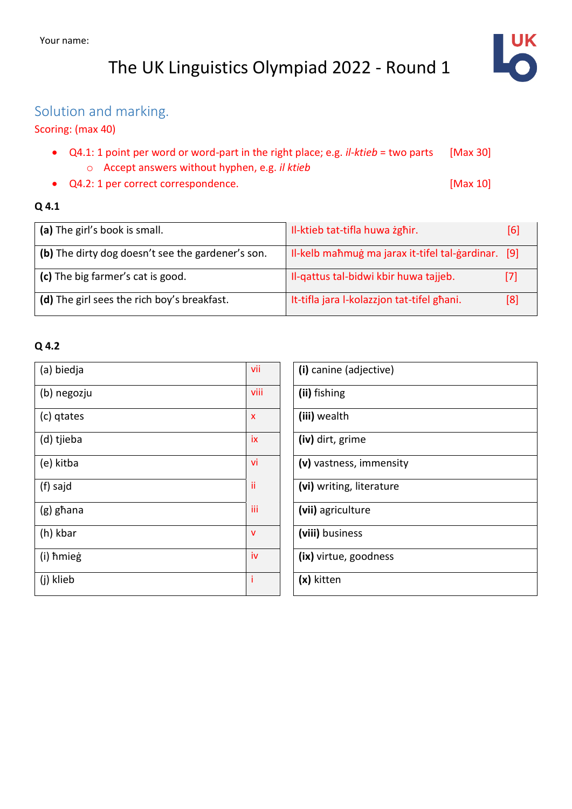

## Solution and marking.

### Scoring: (max 40)

- Q4.1: 1 point per word or word-part in the right place; e.g. *il-ktieb* = two parts [Max 30] o Accept answers without hyphen, e.g. *il ktieb*
- Q4.2: 1 per correct correspondence. [Max 10]

### **Q 4.1**

| (a) The girl's book is small.                     | Il-ktieb tat-tifla huwa żgħir.                 | [6] |
|---------------------------------------------------|------------------------------------------------|-----|
| (b) The dirty dog doesn't see the gardener's son. | Il-kelb mahmug ma jarax it-tifel tal-gardinar. | [9] |
| (c) The big farmer's cat is good.                 | Il-qattus tal-bidwi kbir huwa tajjeb.          | [7] |
| (d) The girl sees the rich boy's breakfast.       | It-tifla jara I-kolazzjon tat-tifel ghani.     | [8] |

#### **Q 4.2**

| (a) biedja  | vii<br>(i) canine (adjective)  |
|-------------|--------------------------------|
| (b) negozju | viii<br>(ii) fishing           |
| (c) gtates  | (iii) wealth<br>$\mathsf{x}$   |
| (d) tjieba  | (iv) dirt, grime<br>iх         |
| (e) kitba   | (v) vastness, immensity<br>vi  |
| (f) sajd    | ïi<br>(vi) writing, literature |
| (g) ghana   | iii<br>(vii) agriculture       |
| (h) kbar    | (viii) business<br>$\mathbf v$ |
| (i) hmieg   | (ix) virtue, goodness<br>iv    |
| (j) klieb   | Ť<br>(x) kitten                |

| (i) canine (adjective)   |
|--------------------------|
| (ii) fishing             |
| (iii) wealth             |
| (iv) dirt, grime         |
| (v) vastness, immensity  |
| (vi) writing, literature |
| (vii) agriculture        |
| (viii) business          |
| (ix) virtue, goodness    |
| (x) kitten               |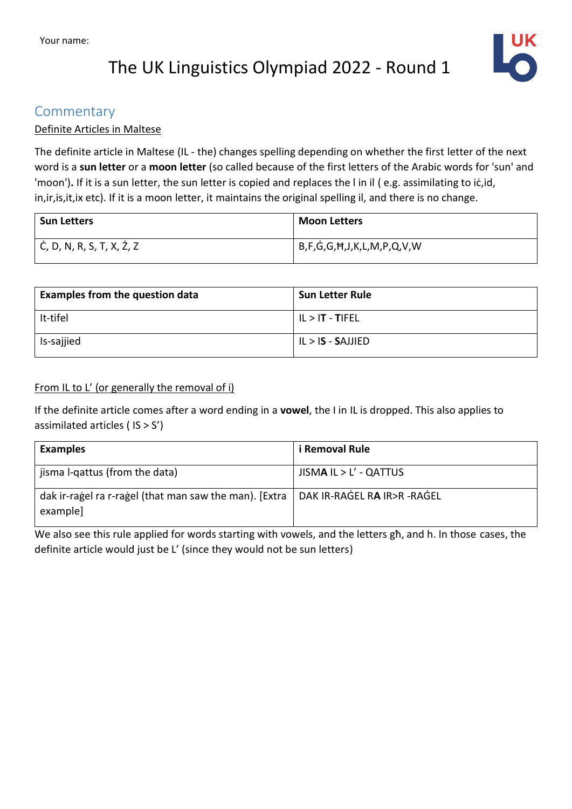

### **Commentary**

#### Definite Articles in Maltese

The definite article in Maltese (IL - the) changes spelling depending on whether the first letter of the next word is a **sun letter** or a **moon letter** (so called because of the first letters of the Arabic words for 'sun' and 'moon')**.** If it is a sun letter, the sun letter is copied and replaces the l in il ( e.g. assimilating to iċ,id, in,ir,is,it,ix etc). If it is a moon letter, it maintains the original spelling il, and there is no change.

| <b>Sun Letters</b>        | <b>Moon Letters</b>       |
|---------------------------|---------------------------|
| Ċ, D, N, R, S, T, X, Ż, Z | B,F,G,G,Ħ,J,K,L,M,P,Q,V,W |

| <b>Examples from the question data</b> | <b>Sun Letter Rule</b> |
|----------------------------------------|------------------------|
| It-tifel                               | $ I  >  T - T $ Fel    |
| Is-sajjied                             | $IL > IS - SAJIIED$    |

#### From IL to L' (or generally the removal of i)

If the definite article comes after a word ending in a **vowel**, the I in IL is dropped. This also applies to assimilated articles ( IS > S')

| <b>Examples</b>                                                     | i Removal Rule              |
|---------------------------------------------------------------------|-----------------------------|
| jisma l-qattus (from the data)                                      | $JISMA IL > L' - QATTUS$    |
| dak ir-ragel ra r-ragel (that man saw the man). [Extra]<br>example] | DAK IR-RAGEL RA IR>R -RAGEL |

We also see this rule applied for words starting with vowels, and the letters għ, and h. In those cases, the definite article would just be L' (since they would not be sun letters)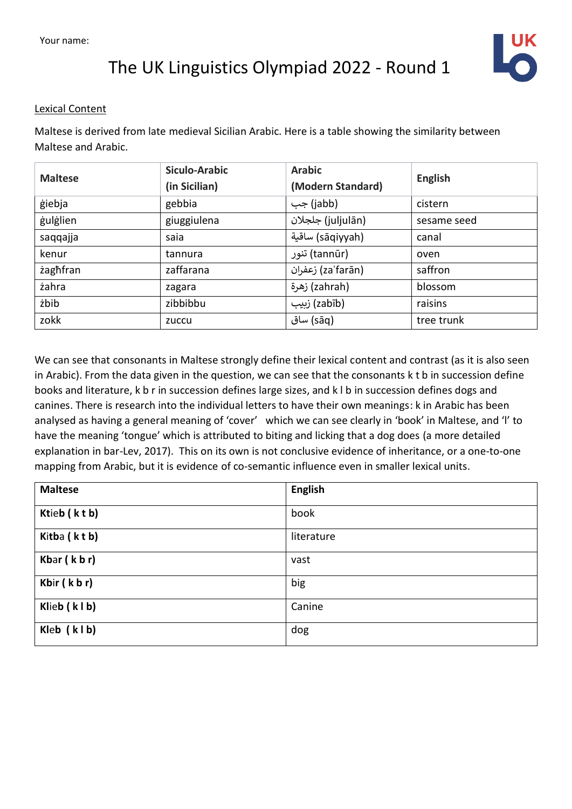

#### Lexical Content

Maltese is derived from late medieval Sicilian Arabic. Here is a table showing the similarity between Maltese and Arabic.

| <b>Maltese</b> | <b>Siculo-Arabic</b><br>(in Sicilian) | <b>Arabic</b><br>(Modern Standard) | English     |
|----------------|---------------------------------------|------------------------------------|-------------|
| giebja         | gebbia                                | (jabb) جب                          | cistern     |
| gulglien       | giuggiulena                           | (juljulān) جلجلان                  | sesame seed |
| saqqajja       | saia                                  | (sāqiyyah) ساقية                   | canal       |
| kenur          | tannura                               | (tannūr) تنور                      | oven        |
| zaghfran       | zaffarana                             | (zaʿfarān) زعفران                  | saffron     |
| żahra          | zagara                                | (zahrah) زهرة                      | blossom     |
| żbib           | zibbibbu                              | (zabīb) زېيب                       | raisins     |
| zokk           | zuccu                                 | (sāq) ساق                          | tree trunk  |

We can see that consonants in Maltese strongly define their lexical content and contrast (as it is also seen in Arabic). From the data given in the question, we can see that the consonants k t b in succession define books and literature, k b r in succession defines large sizes, and k l b in succession defines dogs and canines. There is research into the individual letters to have their own meanings: k in Arabic has been analysed as having a general meaning of 'cover' which we can see clearly in 'book' in Maltese, and 'l' to have the meaning 'tongue' which is attributed to biting and licking that a dog does (a more detailed explanation in bar-Lev, 2017). This on its own is not conclusive evidence of inheritance, or a one-to-one mapping from Arabic, but it is evidence of co-semantic influence even in smaller lexical units.

| <b>Maltese</b> | <b>English</b> |
|----------------|----------------|
| Ktieb (ktb)    | book           |
| Kitba (ktb)    | literature     |
| Kbar $(k b r)$ | vast           |
| Kbir (kbr)     | big            |
| Klieb (klb)    | Canine         |
| Kleb (klb)     | dog            |